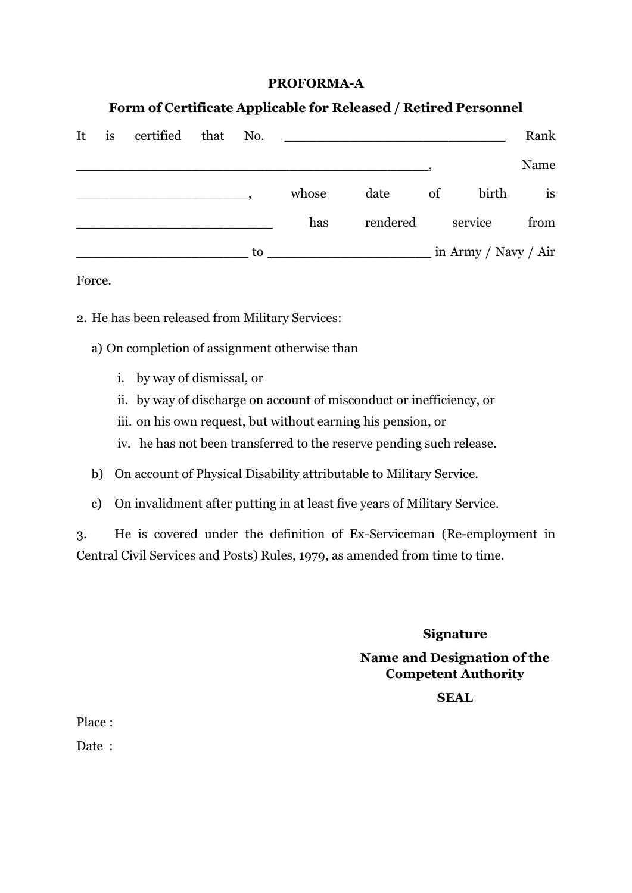### **PROFORMA-A**

## **Form of Certificate Applicable for Released / Retired Personnel**

| It | <i>is</i> | certified that No. |    |       |          |    |                      | Rank |
|----|-----------|--------------------|----|-------|----------|----|----------------------|------|
|    |           |                    |    |       |          |    |                      | Name |
|    |           |                    |    | whose | date     | of | birth                | is   |
|    |           |                    |    | has   | rendered |    | service              | from |
|    |           |                    | to |       |          |    | in Army / Navy / Air |      |

#### Force.

- 2. He has been released from Military Services:
	- a) On completion of assignment otherwise than
		- i. by way of dismissal, or
		- ii. by way of discharge on account of misconduct or inefficiency, or
		- iii. on his own request, but without earning his pension, or
		- iv. he has not been transferred to the reserve pending such release.
	- b) On account of Physical Disability attributable to Military Service.
	- c) On invalidment after putting in at least five years of Military Service.

3. He is covered under the definition of Ex-Serviceman (Re-employment in Central Civil Services and Posts) Rules, 1979, as amended from time to time.

**Signature**

**Name and Designation of the Competent Authority**

### **SEAL**

Place :

Date :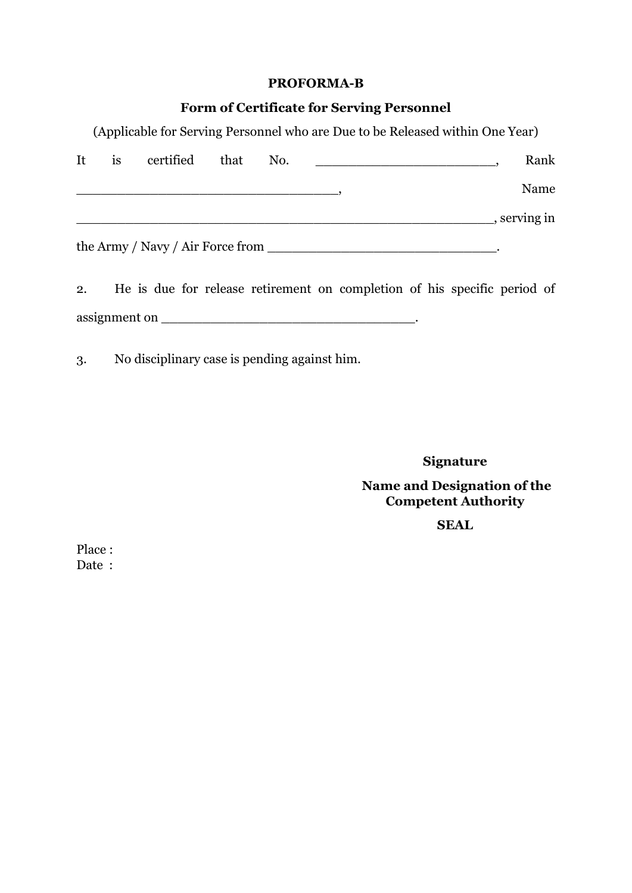### **PROFORMA-B**

# **Form of Certificate for Serving Personnel**

(Applicable for Serving Personnel who are Due to be Released within One Year)

| It | <i>is</i> | certified that | No. |                                                                          |            | Rank |
|----|-----------|----------------|-----|--------------------------------------------------------------------------|------------|------|
|    |           |                |     |                                                                          |            | Name |
|    |           |                |     |                                                                          | serving in |      |
|    |           |                |     | the Army / Navy / Air Force from                                         |            |      |
| 2. |           |                |     | He is due for release retirement on completion of his specific period of |            |      |
|    |           |                |     |                                                                          |            |      |

3. No disciplinary case is pending against him.

**Signature**

**Name and Designation of the Competent Authority**

**SEAL**

Place : Date :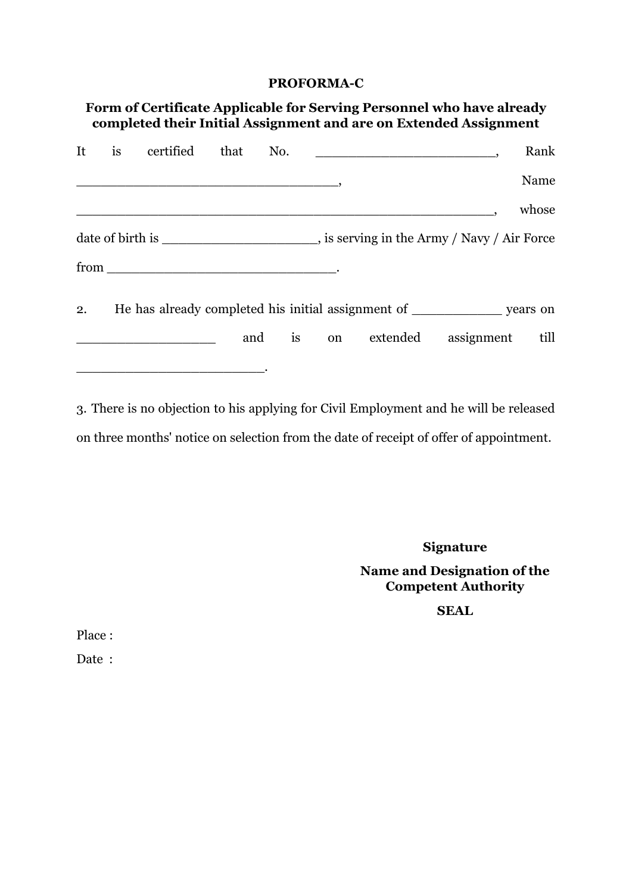### **PROFORMA-C**

|    |           |           |          |    |               |          | Form of Certificate Applicable for Serving Personnel who have already<br>completed their Initial Assignment and are on Extended Assignment |       |
|----|-----------|-----------|----------|----|---------------|----------|--------------------------------------------------------------------------------------------------------------------------------------------|-------|
| It | <i>is</i> | certified | that No. |    |               |          |                                                                                                                                            | Rank  |
|    |           |           |          |    |               |          |                                                                                                                                            | Name  |
|    |           |           |          |    |               |          |                                                                                                                                            | whose |
|    |           |           |          |    |               |          | date of birth is _______________________________, is serving in the Army / Navy / Air Force                                                |       |
|    |           |           |          |    |               |          |                                                                                                                                            |       |
| 2. |           |           |          |    |               |          |                                                                                                                                            |       |
|    |           |           | and      | is | <sub>on</sub> | extended | assignment                                                                                                                                 | till  |
|    |           |           |          |    |               |          |                                                                                                                                            |       |

3. There is no objection to his applying for Civil Employment and he will be released on three months' notice on selection from the date of receipt of offer of appointment.

**Signature**

## **Name and Designation of the Competent Authority**

**SEAL**

Place :

Date :